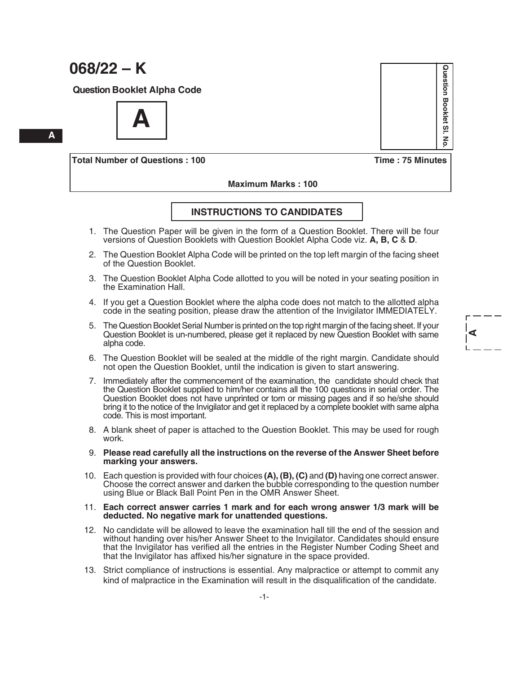# **068/22 – K**

 **A**

**Question Booklet Alpha Code**



**Total Number of Questions : 100 Time : 75 Minutes**

 **Maximum Marks : 100**

## **INSTRUCTIONS TO CANDIDATES**

- 1. The Question Paper will be given in the form of a Question Booklet. There will be four versions of Question Booklets with Question Booklet Alpha Code viz. **A, B, C** & **D**.
- 2. The Question Booklet Alpha Code will be printed on the top left margin of the facing sheet of the Question Booklet.
- 3. The Question Booklet Alpha Code allotted to you will be noted in your seating position in the Examination Hall.
- 4. If you get a Question Booklet where the alpha code does not match to the allotted alpha code in the seating position, please draw the attention of the Invigilator IMMEDIATELY.
- 5. The Question Booklet Serial Number is printed on the top right margin of the facing sheet. If your Question Booklet is un-numbered, please get it replaced by new Question Booklet with same alpha code.
- 6. The Question Booklet will be sealed at the middle of the right margin. Candidate should not open the Question Booklet, until the indication is given to start answering.
- 7. Immediately after the commencement of the examination, the candidate should check that the Question Booklet supplied to him/her contains all the 100 questions in serial order. The Question Booklet does not have unprinted or torn or missing pages and if so he/she should bring it to the notice of the Invigilator and get it replaced by a complete booklet with same alpha code. This is most important.
- 8. A blank sheet of paper is attached to the Question Booklet. This may be used for rough work.
- 9. **Please read carefully all the instructions on the reverse of the Answer Sheet before marking your answers.**
- 10. Each question is provided with four choices **(A), (B), (C)** and **(D)** having one correct answer. Choose the correct answer and darken the bubble corresponding to the question number using Blue or Black Ball Point Pen in the OMR Answer Sheet.
- 11. **Each correct answer carries 1 mark and for each wrong answer 1/3 mark will be deducted. No negative mark for unattended questions.**
- 12. No candidate will be allowed to leave the examination hall till the end of the session and without handing over his/her Answer Sheet to the Invigilator. Candidates should ensure that the Invigilator has verified all the entries in the Register Number Coding Sheet and that the Invigilator has affixed his/her signature in the space provided.
- 13. Strict compliance of instructions is essential. Any malpractice or attempt to commit any kind of malpractice in the Examination will result in the disqualification of the candidate.

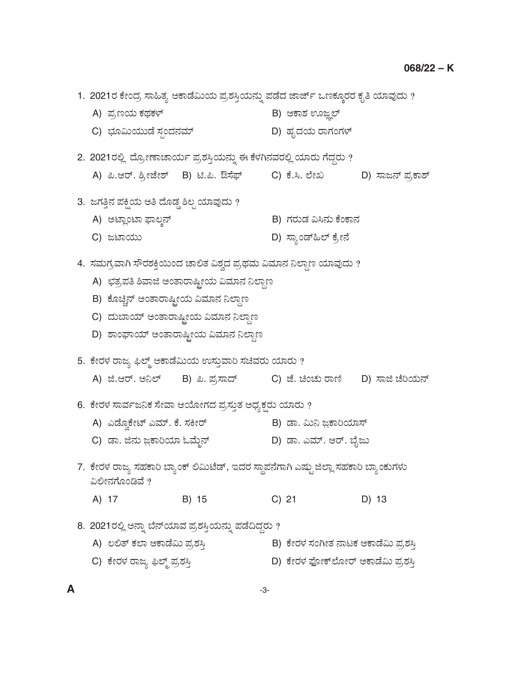1. 2021ರ ಕೇಂದ್ರ ಸಾಹಿತ್ಯ ಅಕಾಡೆಮಿಯ ಪ್ರಶಸ್ತಿಯನ್ನು ಪಡೆದ ಜಾರ್ಜ್ ಒಣಕ್ಕೂರರ ಕೃತಿ ಯಾವುದು ? A) ಪ್ರಣಯ ಕಥಕಳ್ ಅಂದ್ ಅಂತ್ರ B) ಆಕಾಶ ಊಜ್ಞಲ್ C) »ÜãËá¿áávæ Óܳí¨Ü®ÜÊÜå… D) ÖÜê¨Ü¿á ÃÝWÜíWÜÙ… 2. 2021ರಲ್ಲಿ ದ್ರೋಣಾಚಾರ್ಯ ಪ್ರಶಸ್ತಿಯನ್ನು ಈ ಕೆಳಗಿನವರಲ್ಲಿ ಯಾರು ಗೆದ್ದರು ? A) ಪಿ.ಆರ್. ಶ್ರೀಜೇಶ್ B) ಟಿ.ಪಿ. ಔಸೆಫ್ C) ಕೆ.ಸಿ. ಲೇಖ D) ಸಾಜನ್ ಪ್ರಕಾಶ್ 3. ಜಗತ್ತಿನ ಪಕ್ಷಿಯ ಅತಿ ದೊಡ್ಡ ಶಿಲ್ಪ ಯಾವುದು ? A) ApÝÉípÝ ´ÝÆR®… B) WÜÃÜávÜ ËÔ®Üá PæíPÝ®Ü C) gpÝ¿áá D) ÓÝÂív…×Ç… PæÅà®æ 4. ಸಮಗ್ರವಾಗಿ ಸೌರಶಕ್ತಿಯಿಂದ ಚಾಲಿತ ವಿಶ್ವದ ಪ್ರಥಮ ವಿಮಾನ ನಿಲ್ದಾಣ ಯಾವುದು ? A) ಛತ್ರಪತಿ ಶಿವಾಜಿ ಅಂತಾರಾಷ್ಟೀಯ ವಿಮಾನ ನಿಲ್ದಾಣ B) ಕೊಚ್ಚಿನ್ ಅಂತಾರಾಷ್ಟ್ರೀಯ ವಿಮಾನ ನಿಲ್ದಾಣ C) ದುಬಾಯ್ ಅಂತಾರಾಷ್ಟೀಯ ವಿಮಾನ ನಿಲ್ದಾಣ D) ಶಾಂಘಾಯ್ ಅಂತಾರಾಷ್ಟೀಯ ವಿಮಾನ ನಿಲ್ದಾಣ 5. ಕೇರಳ ರಾಜ್ಯ ಫಿಲ್ಮ್ ಅಕಾಡೆಮಿಯ ಉಸ್ತುವಾರಿ ಸಚಿವರು ಯಾರು ? A) ಜಿ.ಆರ್. ಅನಿಲ್ B) ಪಿ. ಪ್ರಸಾದ್ C) ಜೆ. ಚಿಂಚು ರಾಣಿ D) ಸಾಜಿ ಚೆರಿಯನ್ 6. ಕೇರಳ ಸಾರ್ವಜನಿಕ ಸೇವಾ ಆಯೋಗದ ಪ್ರಸ್ತುತ ಅಧ್ಯಕ್ಷರು ಯಾರು ? A) ಎಡ್ವೊಕೇಟ್ ಎಮ್. ಕೆ. ಸಕೀರ್ B) ಡಾ. ಮಿನಿ ಜ಼ಕಾರಿಯಾಸ್ C) vÝ. i®Üá g'PÝÄ¿Þ KÊæá¾®… D) vÝ. GÊÜå…. BÃ…. ¸æçgá 7. ಕೇರಳ ರಾಜ್ಯ ಸಹಕಾರಿ ಬ್ಯಾಂಕ್ ಲಿಮಿಟೆಡ್, ಇದರ ಸ್ಥಾಪನೆಗಾಗಿ ಎಷ್ಟು ಜಿಲ್ಲಾ ಸಹಕಾರಿ ಬ್ಯಾಂಕುಗಳು ವಿಲೀನಗೊಂಡಿವೆ ? A) 17 B) 15 C) 21 D) 13 8. 2021ರಲ್ಲಿ ಅನ್ನಾ ಬೆನ್ ಯಾವ ಪ್ರಶಸ್ತಿಯನ್ನು ಪಡೆದಿದ್ದರು ? A) ಲಲಿತ್ ಕಲಾ ಅಕಾಡೆಮಿ ಪ್ರಶಸ್ತಿ B) ಕೇರಳ ಸಂಗೀತ ನಾಟಕ ಅಕಾಡೆಮಿ ಪ್ರಶಸ್ತಿ C) PæàÃÜÙÜ ÃÝg µÇ…¾ ±ÜÅÍÜÔ¤ D) PæàÃÜÙÜ ´æäàP…ÇæãàÃ… APÝvæËá ±ÜÅÍÜÔ¤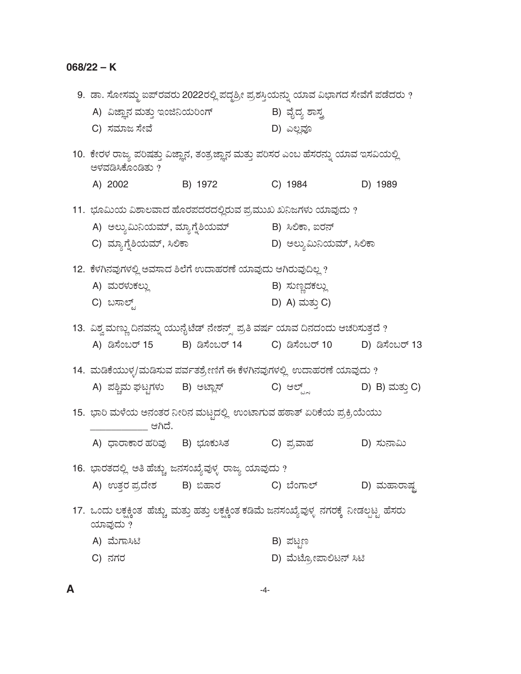## **068/22 – K**

|                                 | 9.  ಡಾ. ಸೋಸಮ್ಮ ಐಪ್ರವರು 2022ರಲ್ಲಿ ಪದ್ಧಶ್ರೀ ಪ್ರಶಸ್ತಿಯನ್ನು ಯಾವ ವಿಭಾಗದ ಸೇವೆಗೆ ಪಡೆದರು ?                 |                         |                |
|---------------------------------|----------------------------------------------------------------------------------------------------|-------------------------|----------------|
|                                 | A) ವಿಜ್ಞಾನ ಮತ್ತು ಇಂಜಿನಿಯರಿಂಗ್                     B) ವೈದ್ಯ ಶಾಸ್ತ್ರ                                 |                         |                |
| C) ಸಮಾಜ ಸೇವೆ                    |                                                                                                    | D) ಎಲ್ಲವೂ               |                |
| ಅಳವಡಿಸಿಕೊಂಡಿತು ?                | 10.  ಕೇರಳ ರಾಜ್ಯ ಪರಿಷತ್ತು ವಿಜ್ಞಾನ, ತಂತ್ರಜ್ಞಾನ ಮತ್ತು ಪರಿಸರ ಎಂಬ ಹೆಸರನ್ನು ಯಾವ ಇಸವಿಯಲ್ಲಿ                |                         |                |
| A) 2002 B) 1972                 |                                                                                                    | C) 1984                 | D) 1989        |
|                                 | 11. ಭೂಮಿಯ ವಿಶಾಲವಾದ ಹೊರಪದರದಲ್ಲಿರುವ ಪ್ರಮುಖ ಖನಿಜಗಳು ಯಾವುದು ?                                          |                         |                |
|                                 | A) ಅಲ್ಯುಮಿನಿಯಮ್, ಮ್ಯಾಗ್ತೆಶಿಯಮ್              B) ಸಿಲಿಕಾ, ಐರನ್                                        |                         |                |
| C) ಮ್ಯಾಗ್ನೆಶಿಯಮ್, ಸಿಲಿಕಾ        |                                                                                                    | D) ಅಲ್ತುಮಿನಿಯಮ್, ಸಿಲಿಕಾ |                |
|                                 | 12.  ಕೆಳಗಿನವುಗಳಲ್ಲಿ ಅವಸಾದ ಶಿಲೆಗೆ ಉದಾಹರಣೆ ಯಾವುದು ಆಗಿರುವುದಿಲ್ಲ ?                                     |                         |                |
| A) ಮರಳುಕಲ್ಲು                    |                                                                                                    | B) ಸುಣ್ಣದಕಲ್ಲು          |                |
| C) ಬಸಾಲ್ಟ್                      |                                                                                                    | D) A) ಮತ್ತು C)          |                |
|                                 | 13. ವಿಶ್ವ ಮಣ್ಣು ದಿನವನ್ನು ಯುನೈಟೆಡ್ ನೇಶನ್ಸ್ ಪ್ರತಿ ವರ್ಷ ಯಾವ ದಿನದಂದು ಆಚರಿಸುತ್ತದೆ ?                     |                         |                |
|                                 | A) ಡಿಸೆಂಬರ್ 15         B) ಡಿಸೆಂಬರ್ 14         C) ಡಿಸೆಂಬರ್ 10         D) ಡಿಸೆಂಬರ್ 13                |                         |                |
|                                 | 14. ಮಡಿಕೆಯುಳ್ಳ/ಮಡಿಸುವ ಪರ್ವತಶ್ರೇಣಿಗೆ ಈ ಕೆಳಗಿನವುಗಳಲ್ಲಿ ಉದಾಹರಣೆ ಯಾವುದು ?                              |                         |                |
|                                 | A) ಪಶ್ಚಿಮ ಘಟ್ಟಗಳು     B) ಅಟ್ಲಾಸ್                                                                   | C) ಆಲ್ಟ್ರ್              | D) B) ಮತ್ತು C) |
| ಆಗಿದೆ.                          | 15. ಭಾರಿ ಮಳೆಯ ಅನಂತರ ನೀರಿನ ಮಟ್ಟದಲ್ಲಿ ಉಂಟಾಗುವ ಹಠಾತ್ ಏರಿಕೆಯ ಪ್ರಕ್ರಿಯೆಯು                               |                         |                |
| A) ಧಾರಾಕಾರ ಹರಿವು     B) ಭೂಕುಸಿತ |                                                                                                    | C) ಪ್ರವಾಹ               | D) ಸುನಾಮಿ      |
|                                 | 16. ಭಾರತದಲ್ಲಿ ಅತಿ ಹೆಚ್ಚು ಜನಸಂಖ್ಯೆವುಳ್ಳ ರಾಜ್ಯ ಯಾವುದು ?                                              |                         |                |
| A) ಉತ್ತರ ಪ್ರದೇಶ       B) ಬಿಹಾರ  |                                                                                                    | C) ಬೆಂಗಾಲ್              | D) ಮಹಾರಾಷ್ಟ    |
| ಯಾವುದು ?                        | 17. ಒಂದು ಲಕ್ಷಕ್ಕಿಂತ  ಹೆಚ್ಚು  ಮತ್ತು ಹತ್ತು ಲಕ್ಷಕ್ಕಿಂತ ಕಡಿಮೆ ಜನಸಂಖ್ಯೆವುಳ್ಳ  ನಗರಕ್ಕೆ  ನೀಡಲ್ಪಟ್ಟ  ಹೆಸರು |                         |                |
| A) ಮೆಗಾಸಿಟಿ                     |                                                                                                    | B) ಪಟ್ಟಣ                |                |
| C) ನಗರ                          |                                                                                                    | D) ಮೆಟ್ರೋಪಾಲಿಟನ್ ಸಿಟಿ   |                |
|                                 |                                                                                                    |                         |                |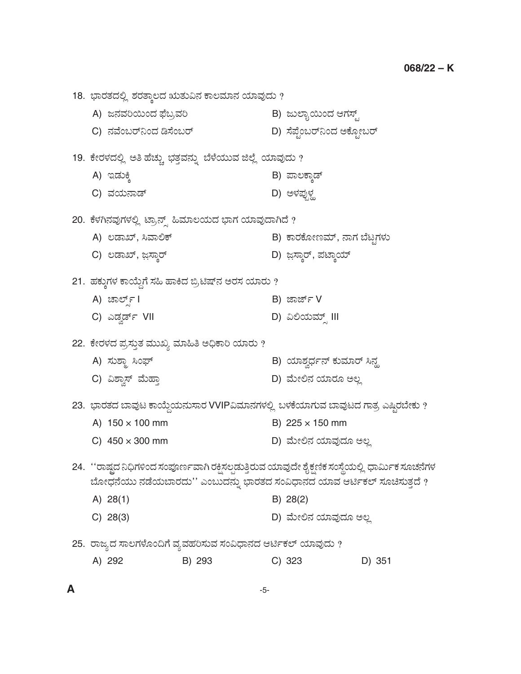18. ಭಾರತದಲ್ಲಿ ಶರತ್ಕಾಲದ ಋತುವಿನ ಕಾಲಮಾನ ಯಾವುದು ? A) ಜನವರಿಯಿಂದ ಫೆಬ್ರವರಿ B) ಜುಲ್ಬಾಯಿಂದ ಆಗಸ್ಟ್ C) ®ÜÊæíŸÃ…¯í¨Ü wÓæíŸÃ… D) Óæ±æríŸÃ…¯í¨Ü APæãràŸÃ… 19. ಕೇರಳದಲ್ಲಿ ಅತಿ ಹೆಚ್ಚು ಭತ್ತವನ್ನು ಬೆಳೆಯುವ ಜಿಲ್ಲೆ ಯಾವುದು ? A) CvÜáQR B) ±ÝÆPÝRv… C) ÊÜ¿á®Ýv… D) AÙܱÜâ³ÙÜØ 20. ಕೆಳಗಿನವುಗಳಲ್ಲಿ ಟ್ರಾನ್ಸ್ ಹಿಮಾಲಯದ ಭಾಗ ಯಾವುದಾಗಿದೆ ? A) ಲಡಾಖ್, ಸಿವಾಲಿಕ್ B) ಕಾರಕೋಣಮ್, ನಾಗ ಬೆಟ್ಟಗಳು C) ÆvÝT…, g'ÓÝRÃ… D) g'ÓÝRÃ…, ±ÜpÝR¿å… 21. ಹಕ್ಕುಗಳ ಕಾಯ್ದೆಗೆ ಸಹಿ ಹಾಕಿದ ಬ್ರಿಟಿಷ್ ನ ಅರಸ ಯಾರು ? A) aÝÇ…Õì I B) hÝh…ì V C) GvÜÌv…ì VII D) ËÈ¿áÊÜå…Õ III 22. ಕೇರಳದ ಪ್ರಸ್ತುತ ಮುಖ್ಯ ಮಾಹಿತಿ ಅಧಿಕಾರಿ ಯಾರು ? A) ÓÜáÍݾ Ôí[… B) ¿ÞÍÜÌ«Üì®… PÜáÊÜÞÃ… Ô®ÜØ C) ËÍÝÌÓ… ÊæáÖݤ D) Êæáà騆 ¿ÞÃÜã AÆÉ 23. ಭಾರತದ ಬಾವುಟ ಕಾಯ್ದೆಯನುಸಾರ VVIPವಿಮಾನಗಳಲ್ಲಿ ಬಳಕೆಯಾಗುವ ಬಾವುಟದ ಗಾತ್ರ ಎಷ್ಟಿರಬೇಕು ? A)  $150 \times 100$  mm B)  $225 \times 150$  mm C) 450 × 300 mm D) ಮೇಲಿನ ಯಾವುದೂ ಅಲ್ಲ 24. ''ರಾಷ್ಟದ ನಿಧಿಗಳಿಂದ ಸಂಪೂರ್ಣವಾಗಿ ರಕ್ಷಿಸಲ್ಪಡುತ್ತಿರುವ ಯಾವುದೇ ಶೈಕ್ಷಣಿಕ ಸಂಸ್ಥೆಯಲ್ಲಿ ಧಾರ್ಮಿಕ ಸೂಚನೆಗಳ ಬೋಧನೆಯು ನಡೆಯಬಾರದು'' ಎಂಬುದನ್ನು ಭಾರತದ ಸಂವಿಧಾನದ ಯಾವ ಆರ್ಟಿಕಲ್ ಸೂಚಿಸುತ್ತದೆ ? A) 28(1) B) 28(2) C) 28(3) D) Êæáà騆 ¿ÞÊÜâ¨Üã AÆÉ 25. ರಾಜ್ಯದ ಸಾಲಗಳೊಂದಿಗೆ ವ್ಯವಹರಿಸುವ ಸಂವಿಧಾನದ ಆರ್ಟಿಕಲ್ ಯಾವುದು ? A) 292 B) 293 C) 323 D) 351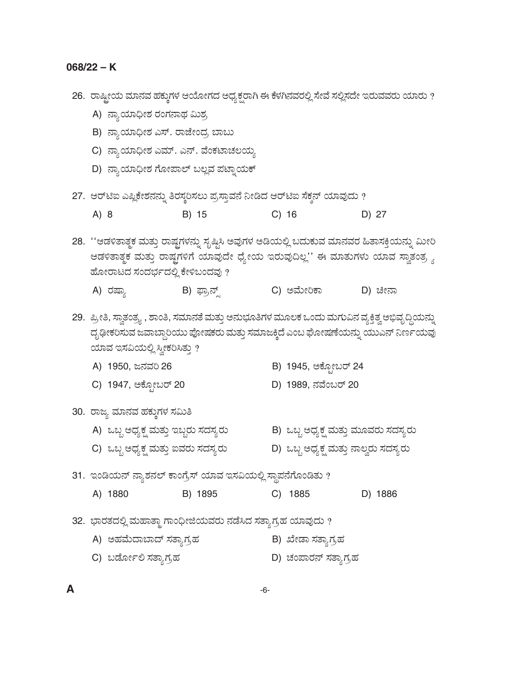26. ರಾಷ್ಟೀಯ ಮಾನವ ಹಕ್ಕುಗಳ ಆಯೋಗದ ಅಧ್ಯಕ್ಷರಾಗಿ ಈ ಕೆಳಗಿನವರಲ್ಲಿ ಸೇವೆ ಸಲ್ಲಿಸದೇ ಇರುವವರು ಯಾರು ?

- A) ನ್ಯಾಯಾಧೀಶ ರಂಗನಾಥ ಮಿಶ್ರ
- B) ನ್ಯಾಯಾಧೀಶ ಎಸ್. ರಾಜೇಂದ್ರ ಬಾಬು
- C) ನ್ಯಾಯಾಧೀಶ ಎಮ್. ಎನ್. ವೆಂಕಟಾಚಲಯ್ಯ
- D) ನ್ಯಾಯಾಧೀಶ ಗೋಪಾಲ್ ಬಲ್ಲವ ಪಟ್ನಾಯಕ್
- 27. ಆರ್ಟಿಐ ಎಪ್ಲಿಕೇಶನನ್ನು ತಿರಸ್ಕರಿಸಲು ಪ್ರಸ್ತಾವನೆ ನೀಡಿದ ಆರ್ಟಿಐ ಸೆಕ್ಡನ್ ಯಾವುದು ?
	- $C)$  16  $A) 8$ B) 15 D) 27

28. ''ಆಡಳಿತಾತ್ಮಕ ಮತ್ತು ರಾಷ್ಟ್ರಗಳನ್ನು ಸೃಷ್ಟಿಸಿ ಅವುಗಳ ಅಡಿಯಲ್ಲಿ ಬದುಕುವ ಮಾನವರ ಹಿತಾಸಕ್ತಿಯನ್ನು ಮೀರಿ ಆಡಳಿತಾತ್ಮಕ ಮತ್ತು ರಾಷ್ಟಗಳಿಗೆ ಯಾವುದೇ ಧ್ಯೇಯ ಇರುವುದಿಲ್ಲ'' ಈ ಮಾತುಗಳು ಯಾವ ಸ್ವಾತಂತ್ರ್ಯ ಹೋರಾಟದ ಸಂದರ್ಭದಲ್ಲಿ ಕೇಳಿಬಂದವು ?

B) ಫ್ರಾನ್ಸ್ C) ಅಮೇರಿಕಾ A) ರಷ್ಯಾ D) ಚೀನಾ

29. ಪ್ರೀತಿ, ಸ್ವಾತಂತ್ರ್ಯ , ಶಾಂತಿ, ಸಮಾನತೆ ಮತ್ತು ಅನುಭೂತಿಗಳ ಮೂಲಕ ಒಂದು ಮಗುವಿನ ವ್ಯಕ್ತಿತ್ವ ಅಭಿವೃದ್ಧಿಯನ್ನು ದೃಢೀಕರಿಸುವ ಜವಾಬ್ದಾರಿಯು ಪೋಷಕರು ಮತ್ತು ಸಮಾಜಕ್ಕಿದೆ ಎಂಬ ಘೋಷಣೆಯನ್ನು ಯುಎನ್ ನಿರ್ಣಯವು ಯಾವ ಇಸವಿಯಲ್ಲಿ ಸ್ವೀಕರಿಸಿತ್ತು ?

- B) 1945, ಆಕ್ಟೋಬರ್ 24 A) 1950, ಜನವರಿ 26
- C) 1947, ಅಕ್ಟೋಬರ್ 20 D) 1989, ನವೆಂಬರ್ 20

## 30. ರಾಜ್ಯ ಮಾನವ ಹಕ್ಕುಗಳ ಸಮಿತಿ

B) ಒಬ್ಬ ಅಧ್ಯಕ್ಷ ಮತ್ತು ಮೂವರು ಸದಸ್ಯರು A) ಒಬ್ಬ ಅಧ್ಯಕ್ಷ ಮತ್ತು ಇಬ್ಬರು ಸದಸ್ಯರು C) ಒಬ್ಬ ಅಧ್ಯಕ್ಷ ಮತ್ತು ಐವರು ಸದಸ್ಯರು – D) ಒಬ್ಬ ಅಧ್ಯಕ್ಷ ಮತ್ತು ನಾಲ್ವರು ಸದಸ್ಯರು

31. ಇಂಡಿಯನ್ ನ್ಯಾಶನಲ್ ಕಾಂಗ್ರೆಸ್ ಯಾವ ಇಸವಿಯಲ್ಲಿ ಸ್ಥಾಪನೆಗೊಂಡಿತು ?

|  | A) 1880 | B) 1895 |  | C) 1885 |  | D) 1886 |
|--|---------|---------|--|---------|--|---------|
|--|---------|---------|--|---------|--|---------|

32. ಭಾರತದಲ್ಲಿ ಮಹಾತ್ಮಾ ಗಾಂಧೀಜಿಯವರು ನಡೆಸಿದ ಸತ್ಯಾಗ್ರಹ ಯಾವುದು ?

- B) ಖೇಡಾ ಸತ್ಯಾಗ್ರಹ A) ಅಹಮೆದಾಬಾದ್ ಸತ್ಯಾಗ್ರಹ
- D) ಚಂಪಾರನ್ ಸತ್ಯಾಗ್ರಹ C) ಬರ್ಡೋಲಿ ಸತ್ತಾಗ್ರಹ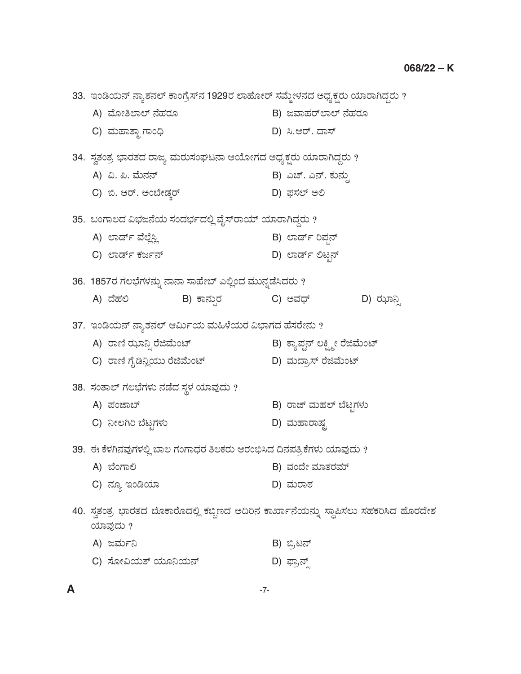| 33.  ಇಂಡಿಯನ್ ನ್ಯಾಶನಲ್ ಕಾಂಗ್ರೆಸ್ನ 1929ರ ಲಾಹೋರ್ ಸಮ್ಮೇಳನದ ಅಧ್ಯಕ್ಷರು ಯಾರಾಗಿದ್ದರು ?                    |                                |  |  |  |
|---------------------------------------------------------------------------------------------------|--------------------------------|--|--|--|
| A) ಮೋತಿಲಾಲ್ ನೆಹರೂ                                                                                 | B) ಜವಾಹರ್ <i>ಲಾಲ್ ನೆ</i> ಹರೂ   |  |  |  |
| C) ಮಹಾತ್ಮಾ ಗಾಂಧಿ                                                                                  | D) ಸಿ.ಆರ್. ದಾಸ್                |  |  |  |
| 34. ಸ್ವತಂತ್ರ ಭಾರತದ ರಾಜ್ಯ ಮರುಸಂಘಟನಾ ಆಯೋಗದ ಅಧ್ಯಕ್ಷರು ಯಾರಾಗಿದ್ದರು ?                                  |                                |  |  |  |
| A) ವಿ. ಪಿ. ಮೆನನ್                                                                                  | B) ಎಚ್. ಎನ್. ಕುನ್ಸು            |  |  |  |
| C) ಬಿ. ಆರ್. ಅಂಬೇಡ್ಕರ್                                                                             | D) ಫಸಲ್ ಅಲಿ                    |  |  |  |
| 35. ಬಂಗಾಲದ ವಿಭಜನೆಯ ಸಂದರ್ಭದಲ್ಲಿ ವೈಸ್ರಾಯ್ ಯಾರಾಗಿದ್ದರು ?                                             |                                |  |  |  |
| A) ಲಾರ್ಡ್ ವೆಲ್ಲೆಸ್ಲಿ                                                                              | B) ಲಾರ್ಡ್ ರಿಪ್ಷನ್              |  |  |  |
| C) ಲಾರ್ಡ್ ಕರ್ಜನ್                                                                                  | D) ಲಾರ್ಡ್ ಲಿಟ್ಕನ್              |  |  |  |
| 36.  1857ರ ಗಲಭೆಗಳನ್ನು ನಾನಾ ಸಾಹೇಬ್ ಎಲ್ಲಿಂದ ಮುನ್ನಡೆಸಿದರು ?                                          |                                |  |  |  |
| A) ದೆಹಲಿ<br>B) ಕಾನ್ಸುರ                                                                            | C) ಅವಧ್<br>D) ಝಾನ್ಸಿ           |  |  |  |
| 37. ಇಂಡಿಯನ್ ನ್ಯಾಶನಲ್ ಆರ್ಮಿಯ ಮಹಿಳೆಯರ ವಿಭಾಗದ ಹೆಸರೇನು ?                                              |                                |  |  |  |
| A) ರಾಣಿ ಝಾನ್ಸಿ ರೆಜಿಮೆಂಟ್                                                                          | B) ಕ್ಯಾಪ್ಟನ್ ಲಕ್ಷ್ಮೀ ರೆಜಿಮೆಂಟ್ |  |  |  |
| C) ರಾಣಿ ಗೈಡಿನ್ಲಿಯು ರೆಜಿಮೆಂಟ್                                                                      | D) ಮದ್ರಾಸ್ ರೆಜಿಮೆಂಟ್           |  |  |  |
| 38. ಸಂತಾಲ್ ಗಲಭೆಗಳು ನಡೆದ ಸ್ಥಳ ಯಾವುದು ?                                                             |                                |  |  |  |
| A) ಪಂಜಾಬ್                                                                                         | B) ರಾಜ್ ಮಹಲ್ ಬೆಟ್ಟಗಳು          |  |  |  |
| C) ನೀಲಗಿರಿ ಬೆಟ್ಟಗಳು                                                                               | D) ಮಹಾರಾಷ್ಟ                    |  |  |  |
| 39.  ಈ ಕೆಳಗಿನವುಗಳಲ್ಲಿ ಬಾಲ ಗಂಗಾಧರ ತಿಲಕರು ಆರಂಭಿಸಿದ ದಿನಪತ್ರಿಕೆಗಳು ಯಾವುದು ?                           |                                |  |  |  |
| A) ಬೆಂಗಾಲಿ                                                                                        | B) ವಂದೇ ಮಾತರಮ್                 |  |  |  |
| C) ನ್ಯೂ ಇಂಡಿಯಾ                                                                                    | D) ಮರಾಠ                        |  |  |  |
| 40. ಸ್ವತಂತ್ರ ಭಾರತದ ಬೊಕಾರೊದಲ್ಲಿ ಕಬ್ಬಿಣದ ಅದಿರಿನ ಕಾರ್ಖಾನೆಯನ್ನು ಸ್ಥಾಪಿಸಲು ಸಹಕರಿಸಿದ ಹೊರದೇಶ<br>ಯಾವುದು ? |                                |  |  |  |
| A) ಜರ್ಮನಿ                                                                                         | B) ಬ್ರಿಟನ್                     |  |  |  |
| C) ಸೋವಿಯತ್ ಯೂನಿಯನ್                                                                                | D) ಫ್ರಾನ್ಸ್                    |  |  |  |

 $-7-$ 

 $\boldsymbol{\mathsf{A}}$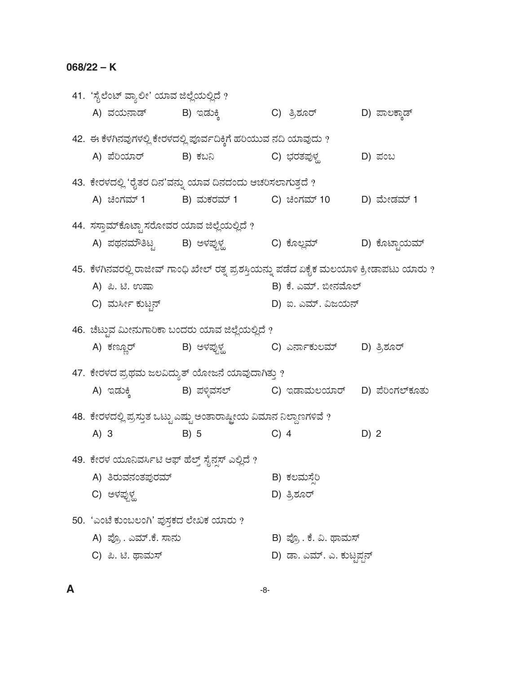41. 'ಸೈಲೆಂಟ್ ವ್ಯಾಲೀ' ಯಾವ ಜಿಲ್ಲೆಯಲ್ಲಿದೆ ? A) ವಯನಾಡ್ B) ಇಡುಕ್ತಿ C) ತ್ರಿಶೂರ್ D) ಪಾಲಕ್ತಾಡ್ 42. ಈ ಕೆಳಗಿನವುಗಳಲ್ಲಿ ಕೇರಳದಲ್ಲಿ ಪೂರ್ವದಿಕ್ಕಿಗೆ ಹರಿಯುವ ನದಿ ಯಾವುದು ? A) ಪೆರಿಯಾರ್ B) ಕಬನಿ C) ಭರತಪುಳ್ಣ D) ಪಂಬ 43. ಕೇರಳದಲ್ಲಿ 'ರೈತರ ದಿನ'ವನ್ನು ಯಾವ ದಿನದಂದು ಆಚರಿಸಲಾಗುತ್ತದೆ ? A) ಚಿಂಗಮ್ 1 B) ಮಕರಮ್ 1 C) ಚಿಂಗಮ್ 10 D) ಮೇಡಮ್ 1 44. ಸಸ್ತಾಮ್ ಕೊಟ್ಟಾ ಸರೋವರ ಯಾವ ಜಿಲ್ಲೆಯಲ್ಲಿದೆ ? A) ಪಥನಮೌತಿಟ್ಟ B) ಅಳಪ್ಪುಳ್ಹ C) ಕೊಲ್ಲಮ್ D) ಕೊಟ್ಟಾಯಮ್ 45. ಕೆಳಗಿನವರಲ್ಲಿ ರಾಜೀವ್ ಗಾಂಧಿ ಖೇಲ್ ರತ್ನ ಪ್ರಶಸ್ತಿಯನ್ನು ಪಡೆದ ಏಕೈಕ ಮಲಯಾಳಿ ಕ್ರೀಡಾಪಟು ಯಾರು ? B) ಕೆ. ಎಮ್. ಬೀನಮೊಲ್ A) ಪಿ. ಟಿ. ಉಷಾ C) ಮರ್ಸೀ ಕುಟ್ಟನ್ D) ಐ. ಎಮ್. ವಿಜಯನ್ 46. ಚೆಟ್ಟುವ ಮೀನುಗಾರಿಕಾ ಬಂದರು ಯಾವ ಜಿಲ್ಲೆಯಲ್ಲಿದೆ ? B) ಅಳಪ್ಪುಳ್ಹ C) ಎರ್ನಾಕುಲಮ್ D) ತ್ರಿಶೂರ್ A) ಕಣ್ಣೂರ್ 47. ಕೇರಳದ ಪ್ರಥಮ ಜಲವಿದ್ಯುತ್ ಯೋಜನೆ ಯಾವುದಾಗಿತ್ತು ? A) ಇಡುಕ್ಕಿ B) ಪಳ್ಳಿವಸಲ್ C) ಇಡಾಮಲಯಾರ್ D) ಪೆರಿಂಗಲ್ ಕೂತು 48. ಕೇರಳದಲ್ಲಿ ಪ್ರಸ್ತುತ ಒಟ್ಟು ಎಷ್ಟು ಅಂತಾರಾಷ್ಟೀಯ ವಿಮಾನ ನಿಲ್ದಾಣಗಳಿವೆ ?  $A) 3$  $B) 5$  $C)$  4 D) 2 49. ಕೇರಳ ಯೂನಿವರ್ಸಿಟಿ ಆಫ್ ಹೆಲ್ತ್ ಸೈನ್ಗಸ್ ಎಲ್ಲಿದೆ ? A) ತಿರುವನಂತಪುರಮ್ B) ಕಲಮಸೆರಿ C) ಅಳಪ್ಪುಳ್ಣ D) ತ್ರಿಶೂರ್ 50. 'ಎಂಟೆ ಕುಂಬಲಂಗಿ' ಪುಸ್ತಕದ ಲೇಖಕ ಯಾರು ? A) ಪ್ರೊ. ಎಮ್.ಕೆ. ಸಾನು B) ಪ್ರೊ. ಕೆ. ವಿ. ಥಾಮಸ್ C) ಪಿ. ಟಿ. ಥಾಮಸ್ D) ಡಾ. ಎಮ್. ಎ. ಕುಟ್ಟಪ್ಪನ್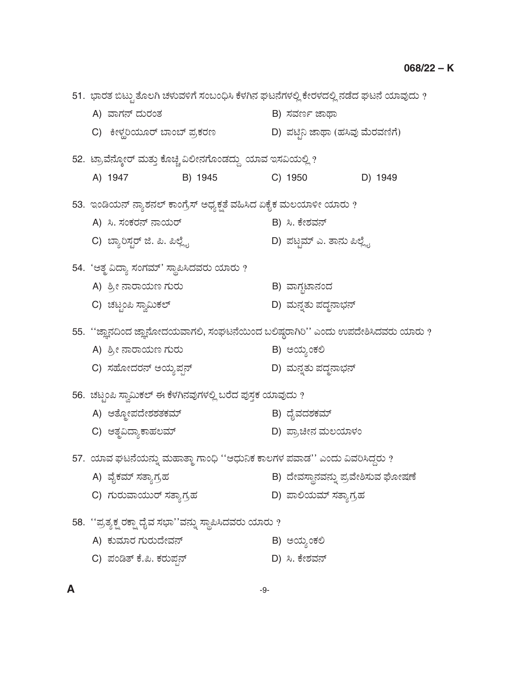51. ಭಾರತ ಬಿಟ್ಟು ತೊಲಗಿ ಚಳುವಳಿಗೆ ಸಂಬಂಧಿಸಿ ಕೆಳಗಿನ ಘಟನೆಗಳಲ್ಲಿ ಕೇರಳದಲ್ಲಿ ನಡೆದ ಘಟನೆ ಯಾವುದು ? B) ಸವರ್ಣ ಜಾಥಾ A) ವಾಗನ್ ದುರಂತ C) ಕೀಳ್ಲರಿಯೂರ್ ಬಾಂಬ್ ಪ್ರಕರಣ D) ಪಟ್ಟಿನಿ ಜಾಥಾ (ಹಸಿವು ಮೆರವಣಿಗೆ) 52. ಟ್ರಾವೆನ್ಕೋರ್ ಮತ್ತು ಕೊಚ್ಚಿ ವಿಲೀನಗೊಂಡದ್ದು ಯಾವ ಇಸವಿಯಲ್ಲಿ ? D) 1949 A) 1947 B) 1945 C) 1950 53. ಇಂಡಿಯನ್ ನ್ಯಾಶನಲ್ ಕಾಂಗ್ರೆಸ್ ಅಧ್ಯಕ್ಷತೆ ವಹಿಸಿದ ಏಕೈಕ ಮಲಯಾಳೀ ಯಾರು ? A) ಸಿ. ಸಂಕರನ್ ನಾಯರ್ B) ಸಿ. ಕೇಶವನ್ D) ಪಟ್ಟಮ್ ಎ. ತಾನು ಪಿಲ್ಲ್ವೆ C) ಬ್ಯಾರಿಸ್ಟರ್ ಜಿ. ಪಿ. ಪಿಲ್ಲೈ 54. 'ಆತ್ಮ ವಿದ್ಯಾ ಸಂಗಮ್' ಸ್ಥಾಪಿಸಿದವರು ಯಾರು ? A) ಶ್ರೀ ನಾರಾಯಣ ಗುರು B) ವಾಗ್ಗಟಾನಂದ C) ಚಟ್ರಂಪಿ ಸ್ವಾಮಿಕಲ್ D) ಮನ್ನತು ಪದ್ಧನಾಭನ್ 55. "ಜ್ಞಾನದಿಂದ ಜ್ಞಾನೋದಯವಾಗಲಿ, ಸಂಘಟನೆಯಿಂದ ಬಲಿಷ್ಠರಾಗಿರಿ" ಎಂದು ಉಪದೇಶಿಸಿದವರು ಯಾರು ? A) ಶ್ರೀ ನಾರಾಯಣ ಗುರು B) ಅಯ್ನಂಕಲಿ C) ಸಹೋದರನ್ ಅಯ್ತಪ್ಪನ್ D) ಮನ್ನತು ಪದ್ಧನಾಭನ್ 56. ಚಟ್ಟಂಪಿ ಸ್ವಾಮಿಕಲ್ ಈ ಕೆಳಗಿನವುಗಳಲ್ಲಿ ಬರೆದ ಪುಸ್ತಕ ಯಾವುದು ? B) ದೈವದಶಕಮ್ A) ಆತ್ಮೋಪದೇಶಶತಕಮ್ C) ಆತೃವಿದ್ಯಾಕಾಹಲಮ್ D) ಪ್ರಾಚೀನ ಮಲಯಾಳಂ 57. ಯಾವ ಘಟನೆಯನ್ನು ಮಹಾತ್ಮಾ ಗಾಂಧಿ ''ಆಧುನಿಕ ಕಾಲಗಳ ಪವಾಡ'' ಎಂದು ವಿವರಿಸಿದ್ದರು ? B) ದೇವಸ್ಥಾನವನ್ನು ಪ್ರವೇಶಿಸುವ ಘೋಷಣೆ A) ವೈಕಮ್ ಸತ್ತಾಗ್ರಹ C) ಗುರುವಾಯುರ್ ಸತ್ಯಾಗ್ರಹ D) ಪಾಲಿಯಮ್ ಸತ್ತಾಗ,ಹ 58. ''ಪ್ರತ್ಯಕ್ಷ ರಕ್ಷಾ ದೈವ ಸಭಾ''ವನ್ನು ಸ್ಥಾಪಿಸಿದವರು ಯಾರು ? A) ಕುಮಾರ ಗುರುದೇವನ್ B) ಅಯ್ಯಂಕಲಿ C) ಪಂಡಿತ್ ಕೆ.ಪಿ. ಕರುಪ್ಪನ್ D) ಸಿ. ಕೇಶವನ್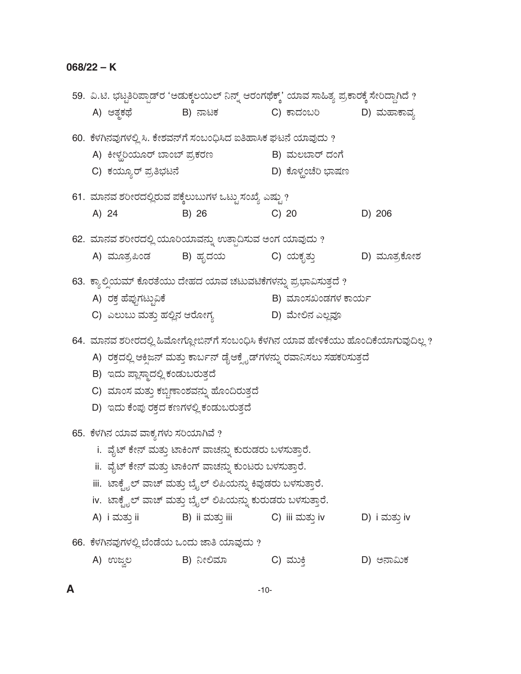$\pmb{\mathsf{A}}$ 

| 59.  ವಿ.ಟಿ. ಭಟ್ಟತಿರಿಪ್ಪಾಡ್ <code>ರ 'ಅಡುಕ್ಕಲಯಿಲ್ ನಿನ್ನ್ ಆರಂಗಥೆಕ್ಸ್' ಯಾವ ಸಾಹಿತ್ಯ ಪ್ರಕಾರಕ್ಕೆ ಸೇರಿದ್ದಾಗಿದೆ ?</code> |                                                                                  |                    |               |
|-----------------------------------------------------------------------------------------------------------------|----------------------------------------------------------------------------------|--------------------|---------------|
| A) ಆತ್ಮಕಥೆ                                                                                                      | B) ನಾಟಕ                                                                          | C) ಕಾದಂಬರಿ         | D) ಮಹಾಕಾವ್ಯ   |
| 60.  ಕೆಳಗಿನವುಗಳಲ್ಲಿ ಸಿ. ಕೇಶವನ್ಗೆ ಸಂಬಂಧಿಸಿದ ಐತಿಹಾಸಿಕ ಘಟನೆ ಯಾವುದು ?                                               |                                                                                  |                    |               |
| A) ಕೀಳ್ಲರಿಯೂರ್ ಬಾಂಬ್ ಪ್ರಕರಣ                                                                                     |                                                                                  | B) ಮಲಬಾರ್ ದಂಗೆ     |               |
| C) ಕಯ್ಯೂರ್ ಪ್ರತಿಭಟನೆ                                                                                            |                                                                                  | D) ಕೊಳ್ಲಂಚೆರಿ ಭಾಷಣ |               |
| 61. ಮಾನವ ಶರೀರದಲ್ಲಿರುವ ಪಕ್ಕೆಲುಬುಗಳ ಒಟ್ಟುಸಂಖ್ಯೆ ಎಷ್ಟು ?                                                           |                                                                                  |                    |               |
| A) 24                                                                                                           | B) 26                                                                            | $C)$ 20            | D) 206        |
| 62.  ಮಾನವ ಶರೀರದಲ್ಲಿ ಯೂರಿಯಾವನ್ನು ಉತ್ಪಾದಿಸುವ ಅಂಗ ಯಾವುದು ?                                                         |                                                                                  |                    |               |
| A) ಮೂತ್ರಪಿಂಡ       B) ಹೃದಯ                                                                                      |                                                                                  | C) ಯಕೃತ್ತು         | D) ಮೂತ್ರಕೋಶ   |
| 63. ಕ್ಯಾಲ್ಸಿಯಮ್ ಕೊರತೆಯು ದೇಹದ ಯಾವ ಚಟುವಟಿಕೆಗಳನ್ನು ಪ್ರಭಾವಿಸುತ್ತದೆ ?                                                |                                                                                  |                    |               |
| A) ರಕ್ತ ಹೆಪ್ಪುಗಟ್ಟುವಿಕೆ                                                                                         |                                                                                  | B) ಮಾಂಸಖಂಡಗಳ ಕಾರ್ಯ |               |
| C) ಎಲುಬು ಮತ್ತು ಹಲ್ಲಿನ ಆರೋಗ್ಯ                                                                                    |                                                                                  | D) ಮೇಲಿನ ಎಲ್ಲವೂ    |               |
| 64.  ಮಾನವ ಶರೀರದಲ್ಲಿ ಹಿಮೋಗ್ಲೋಬಿನ್ಗೆ ಸಂಬಂಧಿಸಿ ಕೆಳಗಿನ ಯಾವ ಹೇಳಿಕೆಯು ಹೊಂದಿಕೆಯಾಗುವುದಿಲ್ಲ ?                            |                                                                                  |                    |               |
|                                                                                                                 | A)  ರಕ್ತದಲ್ಲಿ ಆಕ್ಸಿಜನ್ ಮತ್ತು ಕಾರ್ಬನ್ ಡೈಆಕ್ಸೈಡ್ಗಳನ್ನು ರವಾನಿಸಲು ಸಹಕರಿಸುತ್ತದೆ       |                    |               |
| B) ಇದು ಪ್ಲಾಸ್ಮಾದಲ್ಲಿ ಕಂಡುಬರುತ್ತದೆ                                                                               |                                                                                  |                    |               |
|                                                                                                                 |                                                                                  |                    |               |
| C) ಮಾಂಸ ಮತ್ತು ಕಬ್ಬಿಣಾಂಶವನ್ನು ಹೊಂದಿರುತ್ತದೆ                                                                       |                                                                                  |                    |               |
| D) ಇದು ಕೆಂಪು ರಕ್ತದ ಕಣಗಳಲ್ಲಿ ಕಂಡುಬರುತ್ತದೆ                                                                        |                                                                                  |                    |               |
| 65.  ಕೆಳಗಿನ ಯಾವ ವಾಕ್ಯಗಳು ಸರಿಯಾಗಿವೆ ?                                                                            |                                                                                  |                    |               |
|                                                                                                                 | i. ವೈಟ್ ಕೇನ್ ಮತ್ತು ಟಾಕಿಂಗ್ ವಾಚನ್ನು ಕುರುಡರು ಬಳಸುತ್ತಾರೆ.                           |                    |               |
|                                                                                                                 | ii.  ವೈಟ್ ಕೇನ್ ಮತ್ತು ಟಾಕಿಂಗ್ ವಾಚನ್ನು ಕುಂಟರು ಬಳಸುತ್ತಾರೆ.                          |                    |               |
|                                                                                                                 | iii.  ಟಾಕೈೖಲ್ ವಾಚ್ ಮತ್ತು ಬ್ರೈಲ್ ಲಿಪಿಯನ್ನು ಕಿವುಡರು ಬಳಸುತ್ತಾರೆ.                    |                    |               |
|                                                                                                                 |                                                                                  |                    |               |
| A) i ಮತ್ತು ii                                                                                                   | iv. ಟಾಕ್ಟೈಲ್ ವಾಚ್ ಮತ್ತು ಬ್ರೈಲ್ ಲಿಪಿಯನ್ನು ಕುರುಡರು ಬಳಸುತ್ತಾರೆ.<br>B)  ii ಮತ್ತು iii | C)  iii ಮತ್ತು iv   | D) i ಮತ್ತು iv |
| 66.  ಕೆಳಗಿನವುಗಳಲ್ಲಿ ಬೆಂಡೆಯ ಒಂದು ಜಾತಿ ಯಾವುದು ?                                                                   |                                                                                  |                    |               |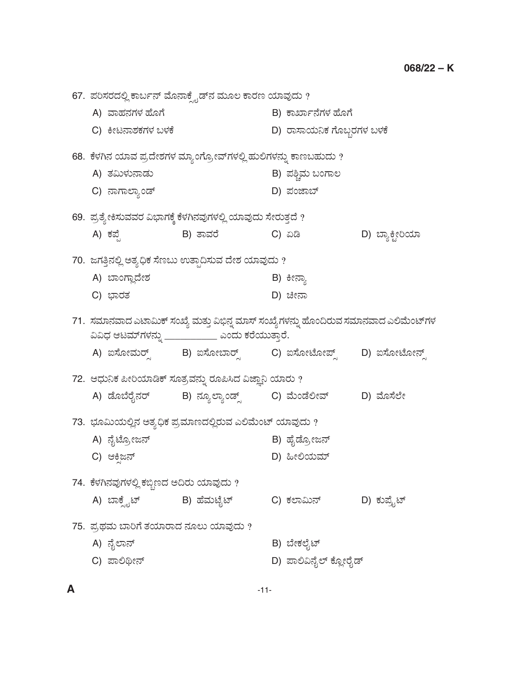67. ಪರಿಸರದಲ್ಲಿ ಕಾರ್ಬನ್ ಮೊನಾಕ್ಸೈಡ್ $\vec{a}$  ಮೂಲ ಕಾರಣ ಯಾವುದು ? A) ÊÝÖÜ®ÜWÜÙÜ ÖæãWæ B) PÝTÝì®æWÜÙÜ ÖæãWæ C) ಕೀಟನಾಶಕಗಳ ಬಳಕೆ ಅಥವಾ ಮುಖ್ಯರು D) ರಾಸಾಯನಿಕ ಗೊಬ್ಬರಗಳ ಬಳಕೆ 68. ಕೆಳಗಿನ ಯಾವ ಪ್ರದೇಶಗಳ ಮ್ಯಾಂಗ್ರೋವ್ಗಳಲ್ಲಿ ಹುಲಿಗಳನ್ನು ಕಾಣಬಹುದು ? A) ñÜËáÙÜá®ÝvÜá B) ±ÜÎcÊÜá ŸíWÝÆ C) ®ÝWÝÇÝÂív… D) ±Üíhݸ… 69. ಪ್ರತ್ಯೇಕಿಸುವವರ ವಿಭಾಗಕ್ಕೆ ಕೆಳಗಿನವುಗಳಲ್ಲಿ ಯಾವುದು ಸೇರುತ್ತದೆ ? A) ಕಪ್ಪೆ B) ತಾವರೆ C) ಏಡಿ D) ಬ್ಯಾಕ್ಟೀರಿಯಾ 70. ಜಗತ್ತಿನಲ್ಲಿ ಅತ್ಯಧಿಕ ಸೆಣಬು ಉತ್ಪಾದಿಸುವ ದೇಶ ಯಾವುದು ? A) ಬಾಂಗ್ಲಾದೇಶ B) ಕೀನ್ತಾ C) »ÝÃÜñÜ D) bà®Ý 71. ಸಮಾನವಾದ ಎಟಾಮಿಕ್ ಸಂಖ್ಯೆ ಮತ್ತು ವಿಭಿನ್ನ ಮಾಸ್ ಸಂಖ್ಯೆ ಗಳನ್ನು ಹೊಂದಿರುವ ಸಮಾನವಾದ ಎಲಿಮೆಂಟ್ ಗಳ ವಿವಿಧ ಆಟಮ್*ಗಳನ್ನು* \_\_\_\_\_\_\_\_\_\_\_\_ ಎಂದು ಕರೆಯುತ್ತಾರೆ. A) ಐಸೋಮರ್ೃ್ಗ B) ಐಸೋಬಾರ್ೃ್ಗ C) ಐಸೋಟೋಪ್ಸ್ – D) ಐಸೋಟೋನ್ಸ್ 72. ಆಧುನಿಕ ಪೀರಿಯಾಡಿಕ್ ಸೂತ್ರವನ್ನು ರೂಪಿಸಿದ ವಿಜ್ಞಾನಿ ಯಾರು ? A) ಡೊಬೆರೈನರ್ B) ನ್ಯೂಲ್ಯಾಂಡ್ಸ್ C) ಮೆಂಡೆಲೀವ್ D) ಮೊಸೆಲೇ 73. ಭೂಮಿಯಲ್ಲಿನ ಅತ್ಯಧಿಕ ಪ್ರಮಾಣದಲ್ಲಿರುವ ಎಲಿಮೆಂಟ್ ಯಾವುದು ? A) ®æçpæãÅàg®… B) ÖæçvæãÅàg®… C) BQÕg®… D) ×àÈ¿áÊÜå… 74. ಕೆಳಗಿನವುಗಳಲ್ಲಿ ಕಬ್ಬಿಣದ ಅದಿರು ಯಾವುದು ? A) ಬಾಕ್ಡೈಟ್ B) ಹೆಮಟೈಟ್ C) ಕಲಾಮಿನ್ D) ಕುಪ್ರೈಟ್ 75. ಪ್ರಥಮ ಬಾರಿಗೆ ತಯಾರಾದ ನೂಲು ಯಾವುದು ? A) ®æçÇÝ®… B) ¸æàPÜÇæçp… C) ಪಾಲಿಥೀನ್ ಅಹಣ ಮಾಲುವುದು D) ಪಾಲಿವಿನೈಲ್ ಕ್ಲೋರೈಡ್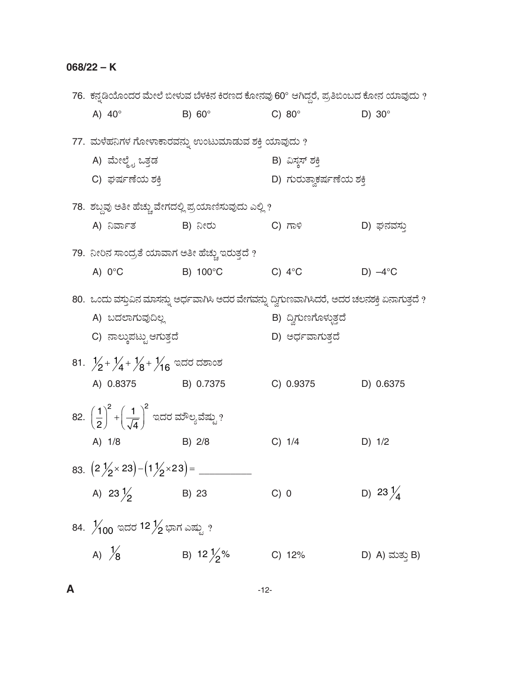|                                                                                        | 76.  ಕನ್ನಡಿಯೊಂದರ ಮೇಲೆ ಬೀಳುವ ಬೆಳಕಿನ ಕಿರಣದ ಕೋನವು 60° ಆಗಿದ್ದರೆ, ಪ್ರತಿಬಿಂಬದ ಕೋನ ಯಾವುದು ?          |                          |                     |
|----------------------------------------------------------------------------------------|-----------------------------------------------------------------------------------------------|--------------------------|---------------------|
| A) $40^\circ$                                                                          | $B) 60^\circ$                                                                                 | C) $80^\circ$            | D) $30^\circ$       |
|                                                                                        | 77. ಮಳೆಹನಿಗಳ ಗೋಳಾಕಾರವನ್ನು ಉಂಟುಮಾಡುವ ಶಕ್ತಿ ಯಾವುದು ?                                            |                          |                     |
| A) ಮೇಲ್ಮೈ ಒತ್ತಡ                                                                        |                                                                                               | B) ವಿಸ್ತಸ್ ಶಕ್ತಿ         |                     |
| C) ಘರ್ಷಣೆಯ ಶಕ್ತಿ                                                                       |                                                                                               | D) ಗುರುತ್ವಾಕರ್ಷಣೆಯ ಶಕ್ತಿ |                     |
|                                                                                        | 78.  ಶಬ್ದವು ಅತೀ ಹೆಚ್ಚು ವೇಗದಲ್ಲಿ ಪ್ರಯಾಣಿಸುವುದು ಎಲ್ಲಿ ?                                         |                          |                     |
| A) ನಿರ್ವಾತ               B) ನೀರು                                                       |                                                                                               | C) ಗಾಳಿ                  | D) ಘನವಸು            |
| 79.  ನೀರಿನ ಸಾಂದ್ರತೆ ಯಾವಾಗ ಅತೀ ಹೆಚ್ಚು ಇರುತ್ತದೆ ?                                        |                                                                                               |                          |                     |
| A) $0^{\circ}$ C                                                                       | B) 100°C                                                                                      | C) $4^{\circ}$ C         | $D) -4$ °C          |
|                                                                                        | 80. ಒಂದು ವಸ್ತುವಿನ ಮಾಸನ್ನು ಅರ್ಧವಾಗಿಸಿ ಅದರ ವೇಗವನ್ನು ದ್ವಿಗುಣವಾಗಿಸಿದರೆ, ಅದರ ಚಲನಶಕ್ತಿ ಏನಾಗುತ್ತದೆ ? |                          |                     |
| A) ಬದಲಾಗುವುದಿಲ್ಲ                                                                       |                                                                                               | B) ದ್ವಿಗುಣಗೊಳ್ಳುತ್ತದೆ    |                     |
| C) ನಾಲ್ಕುಪಟ್ಟು ಆಗುತ್ತದೆ                                                                |                                                                                               | D) ಅರ್ಧವಾಗುತ್ತದೆ         |                     |
| 81. $\frac{1}{2}$ + $\frac{1}{4}$ + $\frac{1}{8}$ + $\frac{1}{16}$ ಇದರ ದಶಾಂಶ           |                                                                                               |                          |                     |
| A) 0.8375 B) 0.7375                                                                    |                                                                                               | C) 0.9375                | D) 0.6375           |
| 82. $\left(\frac{1}{2}\right)^2 + \left(\frac{1}{\sqrt{4}}\right)^2$ ಇದರ ಮೌಲ್ಯವೆಷ್ಟು ? |                                                                                               |                          |                     |
| A) 1/8                                                                                 | $B)$ 2/8                                                                                      | C) 1/4                   | D) 1/2              |
|                                                                                        |                                                                                               |                          |                     |
| A) 23 $\frac{1}{2}$                                                                    | B) 23                                                                                         | C) 0                     | D) 23 $\frac{1}{4}$ |
| 84. $\frac{1}{100}$ ಇದರ 12 $\frac{1}{2}$ ಭಾಗ ಎಷ್ಟು ?                                   |                                                                                               |                          |                     |
| A) $\frac{1}{8}$                                                                       | B) 12 $\frac{1}{2}$ %                                                                         | C) 12%                   | D) A) ಮತ್ತು B)      |
|                                                                                        |                                                                                               |                          |                     |

 $-12-$ 

 $\pmb{\mathsf{A}}$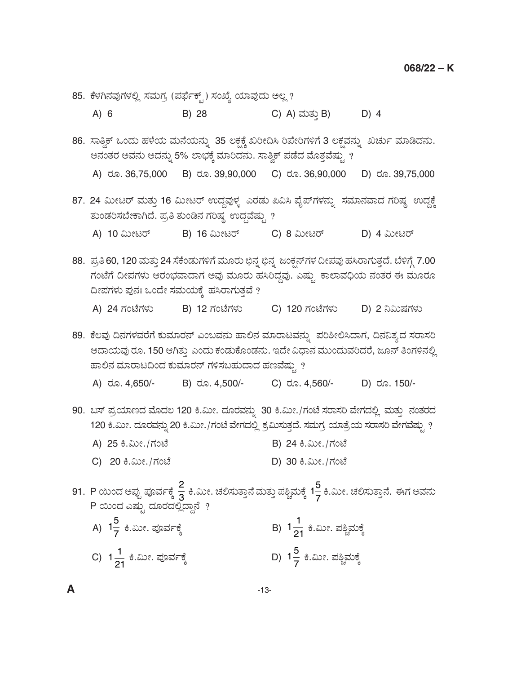- 85. ಕೆಳಗಿನವುಗಳಲ್ಲಿ ಸಮಗ್ರ (ಪರ್ಫೆಕ್ಟ್ ) ಸಂಖ್ಯೆ ಯಾವುದು ಅಲ್ಲ ?
	- C) A) ಮತ್ತು B) D) 4  $A) 6$ B) 28
- 86. ಸಾತ್ವಿಕ್ ಒಂದು ಹಳೆಯ ಮನೆಯನ್ನು 35 ಲಕ್ಷಕ್ಕೆ ಖರೀದಿಸಿ ರಿಪೇರಿಗಳಿಗೆ 3 ಲಕ್ಷವನ್ನು ಖರ್ಚು ಮಾಡಿದನು. ಅನಂತರ ಅವನು ಅದನ್ನು 5% ಲಾಭಕ್ಕೆ ಮಾರಿದನು. ಸಾತ್ವಿಕ್ ಪಡೆದ ಮೊತ್ತವೆಷ್ಣು ? A) do. 36,75,000 B) do. 39,90,000 C) do. 36,90,000 D) ರೂ. 39,75,000
- 87. 24 ಮೀಟರ್ ಮತ್ತು 16 ಮೀಟರ್ ಉದ್ದವುಳ್ಳ ಎರಡು ಪಿವಿಸಿ ಪೈಪ್ $\tilde{n}$ ಳನ್ನು ಸಮಾನವಾದ ಗರಿಷ್ಠ ಉದ್ದಕ್ಕೆ ತುಂಡರಿಸಬೇಕಾಗಿದೆ. ಪ್ರತಿ ತುಂಡಿನ ಗರಿಷ್ಠ ಉದ್ದವೆಷ್ಟು ?
	- A) 10 ಮೀಟರ್ B) 16 ಮೀಟರ್ C) 8 ಮೀಟರ್ D) 4 ಮೀಟರ್
- 88. ಪ್ರತಿ 60, 120 ಮತ್ತು 24 ಸೆಕೆಂಡುಗಳಿಗೆ ಮೂರು ಭಿನ್ನ ಭಿನ್ನ ಜಂಕ್ಷನ್ ಗಳ ದೀಪವು ಹಸಿರಾಗುತ್ತದೆ. ಬೆಳಿಗ್ಗೆ 7.00 ಗಂಟೆಗೆ ದೀಪಗಳು ಆರಂಭವಾದಾಗ ಅವು ಮೂರು ಹಸಿರಿದ್ದವು. ಎಷ್ಟು ಕಾಲಾವಧಿಯ ನಂತರ ಈ ಮೂರೂ ದೀಪಗಳು ಪುನಃ ಒಂದೇ ಸಮಯಕ್ಕೆ ಹಸಿರಾಗುತ್ತವೆ ?
	- A) 24 ಗಂಟೆಗಳು B) 12 ಗಂಟೆಗಳು C) 120 ಗಂಟೆಗಳು D) 2 ನಿಮಿಷಗಳು

89. ಕೆಲವು ದಿನಗಳವರೆಗೆ ಕುಮಾರನ್ ಎಂಬವನು ಹಾಲಿನ ಮಾರಾಟವನ್ನು ಪರಿಶೀಲಿಸಿದಾಗ, ದಿನನಿತ್ಯದ ಸರಾಸರಿ ಆದಾಯವು ರೂ. 150 ಆಗಿತ್ತು ಎಂದು ಕಂಡುಕೊಂಡನು. ಇದೇ ವಿಧಾನ ಮುಂದುವರಿದರೆ, ಜೂನ್ ತಿಂಗಳಿನಲ್ಲಿ ಹಾಲಿನ ಮಾರಾಟದಿಂದ ಕುಮಾರನ್ ಗಳಿಸಬಹುದಾದ ಹಣವೆಷ್ತು ?

- C) ರೂ. 4,560/-A) ರೂ. 4,650/-B) ರೂ. 4,500/-D) ರೂ. 150/-
- 90. ಬಸ್ ಪ್ರಯಾಣದ ಮೊದಲ 120 ಕಿ.ಮೀ. ದೂರವನ್ನು 30 ಕಿ.ಮೀ./ಗಂಟೆ ಸರಾಸರಿ ವೇಗದಲ್ಲಿ ಮತ್ತು ನಂತರದ 120 ಕಿ.ಮೀ. ದೂರವನ್ನು 20 ಕಿ.ಮೀ./ಗಂಟೆ ವೇಗದಲ್ಲಿ ಕ್ರಮಿಸುತ್ತದೆ. ಸಮಗ್ರ ಯಾತ್ರೆಯ ಸರಾಸರಿ ವೇಗವೆಷ್ಟು ?
	- A) 25 ಕಿ.ಮೀ./ಗಂಟೆ B) 24 ಕಿ.ಮೀ./ಗಂಟೆ
	- C) 20 ಕಿ.ಮೀ./ಗಂಟೆ D) 30 ಕಿ.ಮೀ./ಗಂಟೆ
- 91. P ಯಿಂದ ಅಪ್ಪು ಪೂರ್ವಕ್ಕೆ  $\frac{2}{3}$  ಕಿ.ಮೀ. ಚಲಿಸುತ್ತಾನೆ ಮತ್ತು ಪಶ್ಚಿಮಕ್ಕೆ 1 $\frac{5}{7}$ ಕಿ.ಮೀ. ಚಲಿಸುತ್ತಾನೆ. ಈಗ ಅವನು<br>P ಯಿಂದ ಎಷ್ಟು ದೂರದಲ್ಲಿದ್ದಾನೆ ?
	- A) 1 $\frac{5}{7}$  ಕಿ.ಮೀ. ಪೂರ್ವಕ್ಕೆ D) 1 $\frac{5}{7}$  ಕಿ.ಮೀ. ಪಶ್ಚಿಮಕ್ಕೆ C) 1 $\frac{1}{21}$  ಕಿ.ಮೀ. ಪೂರ್ವಕ್ಕೆ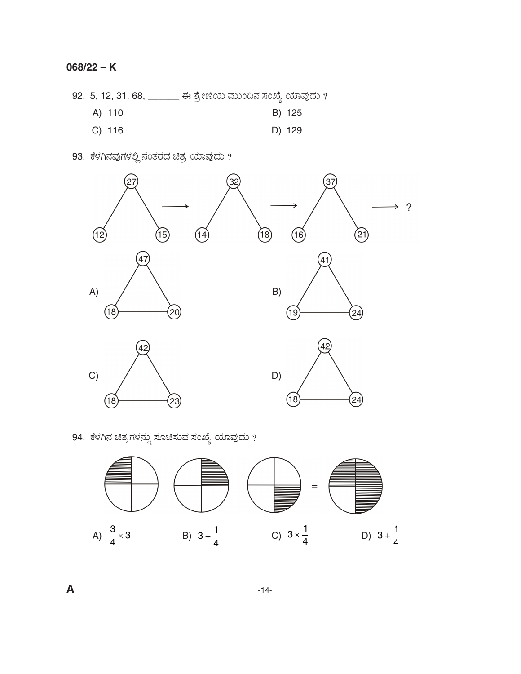## **068/22 – K**

92. 5, 12, 31, 68, \_\_\_\_\_\_\_ ಈ ಶ್ರೇಣಿಯ ಮುಂದಿನ ಸಂಖ್ಯೆ ಯಾವುದು ?

- A) 110 B) 125
- C) 116 D) 129
- 93. ಕೆಳಗಿನವುಗಳಲ್ಲಿ ನಂತರದ ಚಿತ್ರ ಯಾವುದು ?



94. ಕೆಳಗಿನ ಚಿತ್ರಗಳನ್ನು ಸೂಚಿಸುವ ಸಂಖ್ಯೆ ಯಾವುದು  $\emph{?}$ 



**A** -14-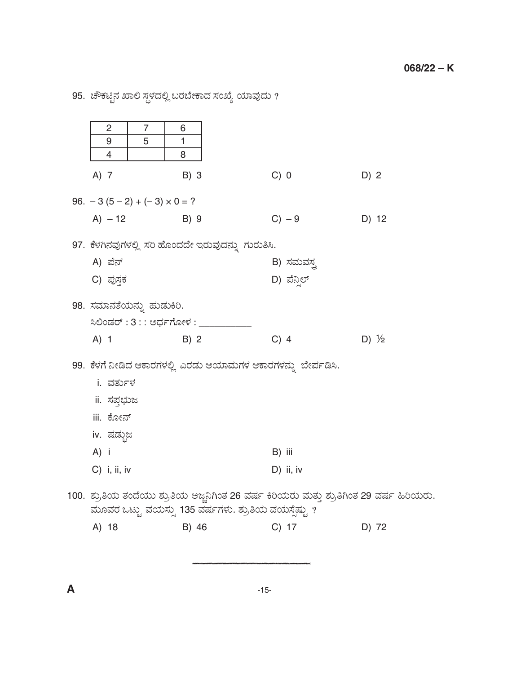95. ಚೌಕಟ್ಟಿನ ಖಾಲಿ ಸ್ಥಳದಲ್ಲಿ ಬರಬೇಕಾದ ಸಂಖ್ಯೆ ಯಾವುದು ?

| $\overline{c}$                                               | $\overline{7}$ | 6                                 |                                                                                           |                  |  |  |
|--------------------------------------------------------------|----------------|-----------------------------------|-------------------------------------------------------------------------------------------|------------------|--|--|
| 9<br>4                                                       | 5              | 1<br>8                            |                                                                                           |                  |  |  |
| A) 7                                                         |                | B) 3                              | C) 0                                                                                      | D) 2             |  |  |
| 96. $-3(5-2) + (-3) \times 0 = ?$                            |                |                                   |                                                                                           |                  |  |  |
| $A) - 12$                                                    |                | B) 9                              | $C) - 9$                                                                                  | D) 12            |  |  |
|                                                              |                |                                   | 97. ಕೆಳಗಿನವುಗಳಲ್ಲಿ ಸರಿ ಹೊಂದದೇ ಇರುವುದನ್ನು ಗುರುತಿಸಿ.                                        |                  |  |  |
| A) ಪೆನ್                                                      |                |                                   | B) ಸಮವಸ್ತ                                                                                 |                  |  |  |
| C) ಪುಸ್ತಕ                                                    |                |                                   | D) ಪೆನ್ಸಿಲ್                                                                               |                  |  |  |
| 98. ಸಮಾನತೆಯನ್ನು ಹುಡುಕಿರಿ.                                    |                |                                   |                                                                                           |                  |  |  |
|                                                              |                | ಸಿಲಿಂಡರ್ : 3 : : ಅರ್ಧಗೋಳ : ______ |                                                                                           |                  |  |  |
| $A)$ 1                                                       |                | B) 2                              | $C)$ 4                                                                                    | D) $\frac{1}{2}$ |  |  |
| 99. ಕೆಳಗೆ ನೀಡಿದ ಆಕಾರಗಳಲ್ಲಿ ಎರಡು ಆಯಾಮಗಳ ಆಕಾರಗಳನ್ನು ಬೇರ್ಪಡಿಸಿ. |                |                                   |                                                                                           |                  |  |  |
| i. ವರ್ತುಳ                                                    |                |                                   |                                                                                           |                  |  |  |
| ii. ಸಪ್ತಭುಜ                                                  |                |                                   |                                                                                           |                  |  |  |
| iii. ಕೋನ್                                                    |                |                                   |                                                                                           |                  |  |  |
| iv. ಷಡ್ಗುಜ                                                   |                |                                   |                                                                                           |                  |  |  |
| A) i                                                         |                |                                   | B) iii                                                                                    |                  |  |  |
| $C)$ i, ii, iv                                               |                |                                   | D) ii, iv                                                                                 |                  |  |  |
|                                                              |                |                                   | 100.  ಶ್ರುತಿಯ ತಂದೆಯು ಶ್ರುತಿಯ ಅಜ್ಜನಿಗಿಂತ 26 ವರ್ಷ ಕಿರಿಯರು ಮತ್ತು ಶ್ರುತಿಗಿಂತ 29 ವರ್ಷ ಹಿರಿಯರು. |                  |  |  |
| A) 18                                                        |                | B) 46                             | ಮೂವರ ಒಟ್ಟು ವಯಸ್ಸು 135 ವರ್ಷಗಳು. ಶ್ರುತಿಯ ವಯಸ್ಸೆಷ್ಟು ?<br>C) 17                              | D) 72            |  |  |
|                                                              |                |                                   |                                                                                           |                  |  |  |

 $\boldsymbol{\mathsf{A}}$